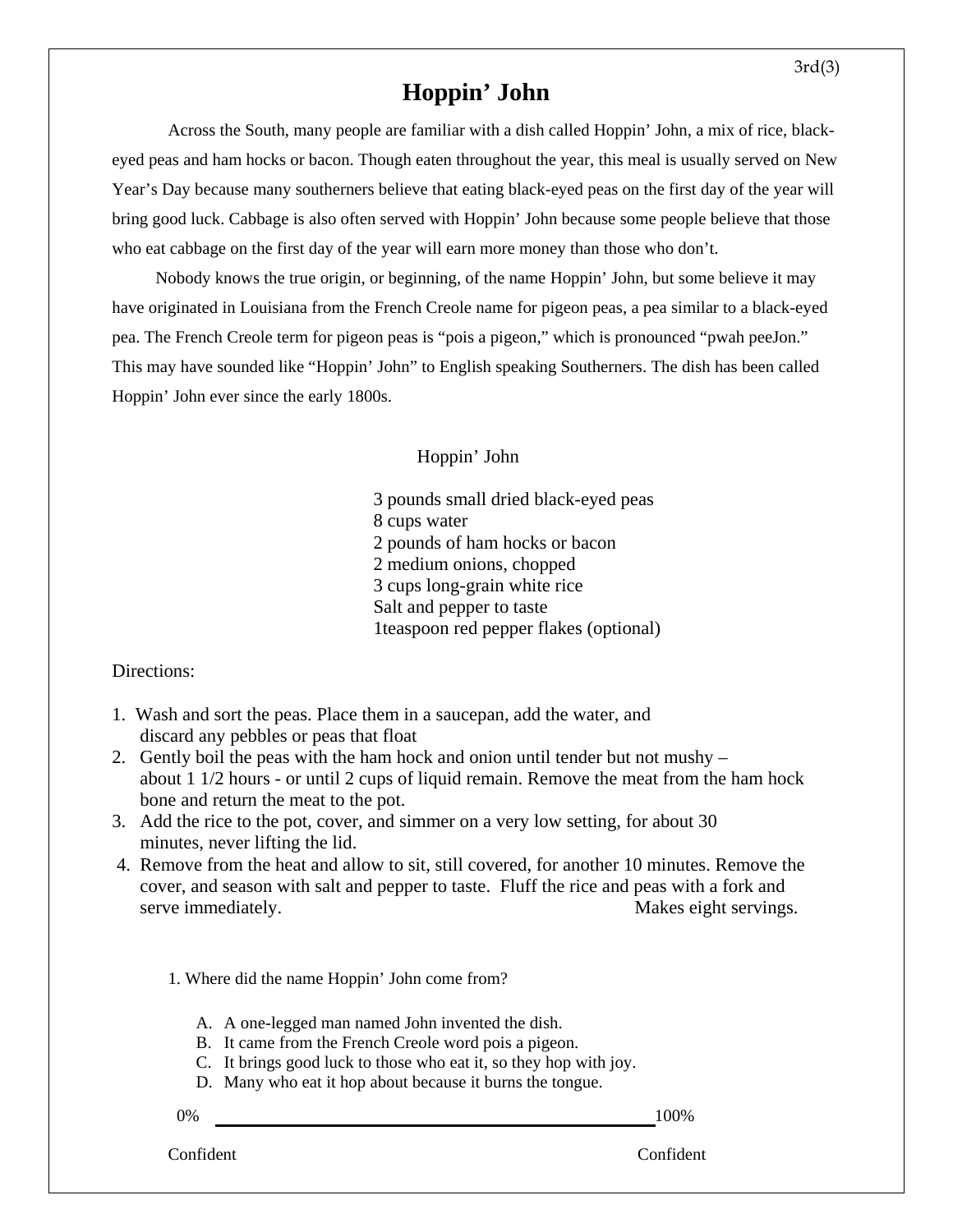## **Hoppin' John**

Across the South, many people are familiar with a dish called Hoppin' John, a mix of rice, blackeyed peas and ham hocks or bacon. Though eaten throughout the year, this meal is usually served on New Year's Day because many southerners believe that eating black-eyed peas on the first day of the year will bring good luck. Cabbage is also often served with Hoppin' John because some people believe that those who eat cabbage on the first day of the year will earn more money than those who don't.

Nobody knows the true origin, or beginning, of the name Hoppin' John, but some believe it may have originated in Louisiana from the French Creole name for pigeon peas, a pea similar to a black-eyed pea. The French Creole term for pigeon peas is "pois a pigeon," which is pronounced "pwah peeJon." This may have sounded like "Hoppin' John" to English speaking Southerners. The dish has been called Hoppin' John ever since the early 1800s.

Hoppin' John

3 pounds small dried black-eyed peas 8 cups water 2 pounds of ham hocks or bacon 2 medium onions, chopped 3 cups long-grain white rice Salt and pepper to taste 1teaspoon red pepper flakes (optional)

Directions:

- 1. Wash and sort the peas. Place them in a saucepan, add the water, and discard any pebbles or peas that float
- 2. Gently boil the peas with the ham hock and onion until tender but not mushy about 1 1/2 hours - or until 2 cups of liquid remain. Remove the meat from the ham hock bone and return the meat to the pot.
- 3. Add the rice to the pot, cover, and simmer on a very low setting, for about 30 minutes, never lifting the lid.
- 4. Remove from the heat and allow to sit, still covered, for another 10 minutes. Remove the cover, and season with salt and pepper to taste. Fluff the rice and peas with a fork and serve immediately. The service of the service of the Makes eight servings.

1. Where did the name Hoppin' John come from?

- A. A one-legged man named John invented the dish.
- B. It came from the French Creole word pois a pigeon.
- C. It brings good luck to those who eat it, so they hop with joy.
- D. Many who eat it hop about because it burns the tongue.

0% 100%

Confident Confident